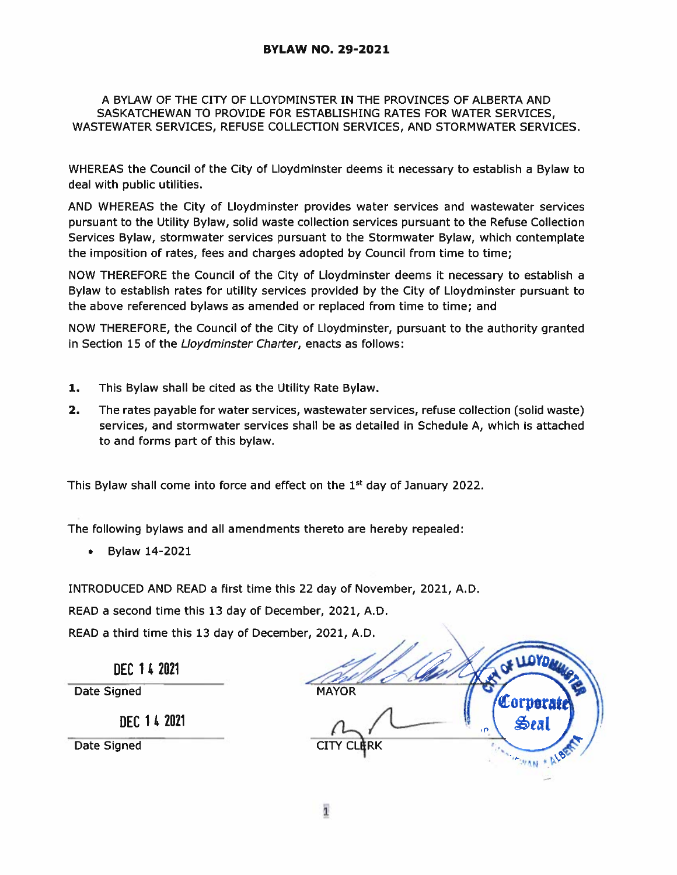## A BYLAW OF THE CITY OF LLOYDMINSTER IN THE PROVINCES OF ALBERTA AND SASKATCHEWAN TO PROVIDE FOR ESTABLISHING RATES FOR WATER SERVICES, WASTEWATER SERVICES, REFUSE COLLECTION SERVICES, AND STORMWATER SERVICES.

WHEREAS the Council of the City of Lloydminster deems it necessary to establish <sup>a</sup> Bylaw to deal with public utilities.

AND WHEREAS the City of Lloydminster provides water services and wastewater services pursuan<sup>t</sup> to the Utility Bylaw, solid waste collection services pursuan<sup>t</sup> to the Refuse Collection Services Bylaw, stormwater services pursuan<sup>t</sup> to the Stormwater Bylaw, which contemplate the imposition of rates, fees and charges adopted by Council from time to time;

NOW THEREFORE the Council of the City of Lloydminster deems it necessary to establish <sup>a</sup> Bylaw to establish rates for utility services provided by the City of Lloydminster pursuan<sup>t</sup> to the above referenced bylaws as amended or replaced from time to time; and

NOW THEREFORE, the Council of the City of Lloydminster, pursuan<sup>t</sup> to the authority granted in Section 15 of the Lloydminster Charter, enacts as follows:

- 1. This Bylaw shall be cited as the Utility Rate Bylaw.
- 2. The rates payable for water services, wastewater services, refuse collection (solid waste) services, and stormwater services shall be as detailed in Schedule A, which is attached to and forms par<sup>t</sup> of this bylaw.

This Bylaw shall come into force and effect on the  $1<sup>st</sup>$  day of January 2022.

The following bylaws and all amendments thereto are hereby repealed:

Bylaw 14-2021

INTRODUCED AND READ <sup>a</sup> first time this 22 day of November, 2021, A.D.

READ <sup>a</sup> second time this 13 day of December, 2021, A.D.

READ a third time this 13 day of December, 2021, A.D.

DEC 1 42021

Date Signed

DEC 142021

Date Signed

**MAYOR** Corpera Seal **MOVAN + ALB**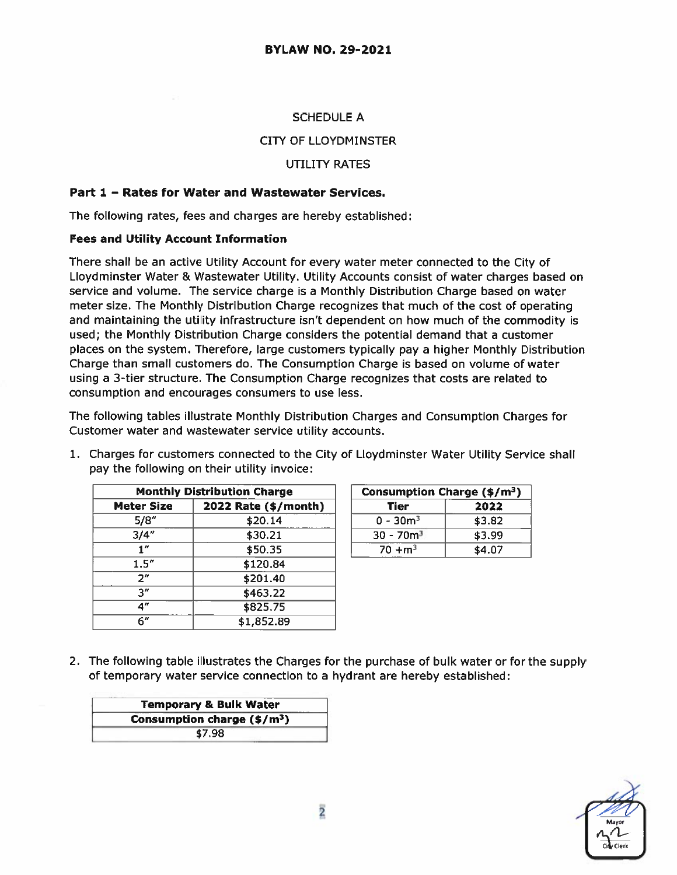## SCHEDULE A

## CITY OF LLOYDMINSTER

## UTILITY RATES

## Part 1 — Rates for Water and Wastewater Services.

The following rates, fees and charges are hereby established:

#### Fees and Utility Account Information

There shall be an active Utility Account for every water meter connected to the City of Lloydminster Water & Wastewater Utility. Utility Accounts consist of water charges based on service and volume. The service charge is <sup>a</sup> Monthly Distribution Charge based on water meter size. The Monthly Distribution Charge recognizes that much of the cost of operating and maintaining the utility infrastructure isn't dependent on how much of the commodity is used; the Monthly Distribution Charge considers the potential demand that <sup>a</sup> customer places on the system. Therefore, large customers typically pay <sup>a</sup> higher Monthly Distribution Charge than small customers do. The Consumption Charge is based on volume of water using <sup>a</sup> 3-tier structure. The Consumption Charge recognizes that costs are related to consumption and encourages consumers to use less.

The following tables illustrate Monthly Distribution Charges and Consumption Charges for Customer water and wastewater service utility accounts.

1. Charges for customers connected to the City of Lloydminster Water Utility Service shall

|                   | <b>Monthly Distribution Charge</b> |  |  |
|-------------------|------------------------------------|--|--|
| <b>Meter Size</b> | 2022 Rate (\$/month)               |  |  |
| 5/8"              | \$20.14                            |  |  |
| 3/4''             | \$30.21                            |  |  |
| 1''               | \$50.35                            |  |  |
| 1.5''             | \$120.84                           |  |  |
| 2"                | \$201.40                           |  |  |
| 3″                | \$463.22                           |  |  |
| 4"                | \$825.75                           |  |  |
| 6"                | \$1,852.89                         |  |  |

|                                    | pay the following on their utility invoice: |                                         |        |
|------------------------------------|---------------------------------------------|-----------------------------------------|--------|
| <b>Monthly Distribution Charge</b> |                                             | Consumption Charge (\$/m <sup>3</sup> ) |        |
| <b>Meter Size</b>                  | 2022 Rate (\$/month)                        | Tier                                    | 2022   |
| 5/8"                               | \$20.14                                     | $0 - 30m^3$                             | \$3.82 |

2. The following table illustrates the Charges for the purchase of bulk water or for the supply of temporary water service connection to <sup>a</sup> hydrant are hereby established:

| <b>Temporary &amp; Bulk Water</b>    |  |
|--------------------------------------|--|
| Consumption charge $(\frac{2}{3})^2$ |  |
| \$7.98                               |  |

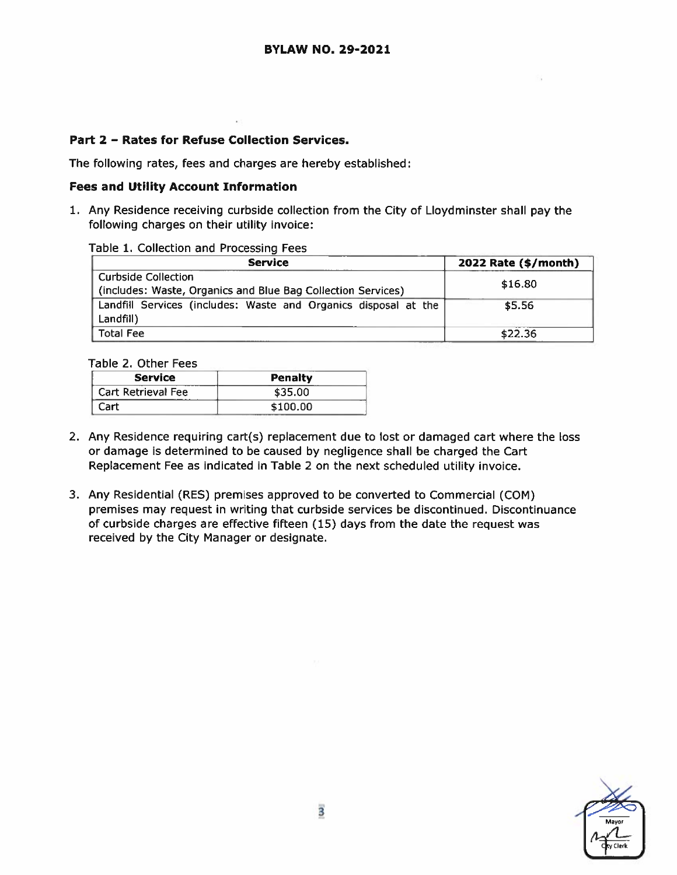## Part 2 — Rates for Refuse Collection Services.

The following rates, fees and charges are hereby established:

#### Fees and Utility Account Information

1. Any Residence receiving curbside collection from the City of Lloydminster shall pay the following charges on their utility invoice:

#### Table 1. Collection and Processing Fees

| <b>Service</b>                                                  | 2022 Rate (\$/month) |  |
|-----------------------------------------------------------------|----------------------|--|
| <b>Curbside Collection</b>                                      | \$16.80              |  |
| (includes: Waste, Organics and Blue Bag Collection Services)    |                      |  |
| Landfill Services (includes: Waste and Organics disposal at the | \$5.56               |  |
| Landfill)                                                       |                      |  |
| <b>Total Fee</b>                                                | \$22.36              |  |

Table 2. Other Fees

| <b>Service</b>     | Penalty  |
|--------------------|----------|
| Cart Retrieval Fee | \$35.00  |
| Cart               | \$100.00 |

- 2. Any Residence requiring cart(s) replacement due to lost or damaged cart where the loss or damage is determined to be caused by negligence shall be charged the Cart Replacement Fee as indicated in Table 2 on the next scheduled utility invoice.
- 3. Any Residential (RES) premises approved to be converted to Commercial (CON) premises may reques<sup>t</sup> in writing that curbside services be discontinued. Discontinuance of curbside charges are effective fifteen (15) days from the date the reques<sup>t</sup> was received by the City Manager or designate.

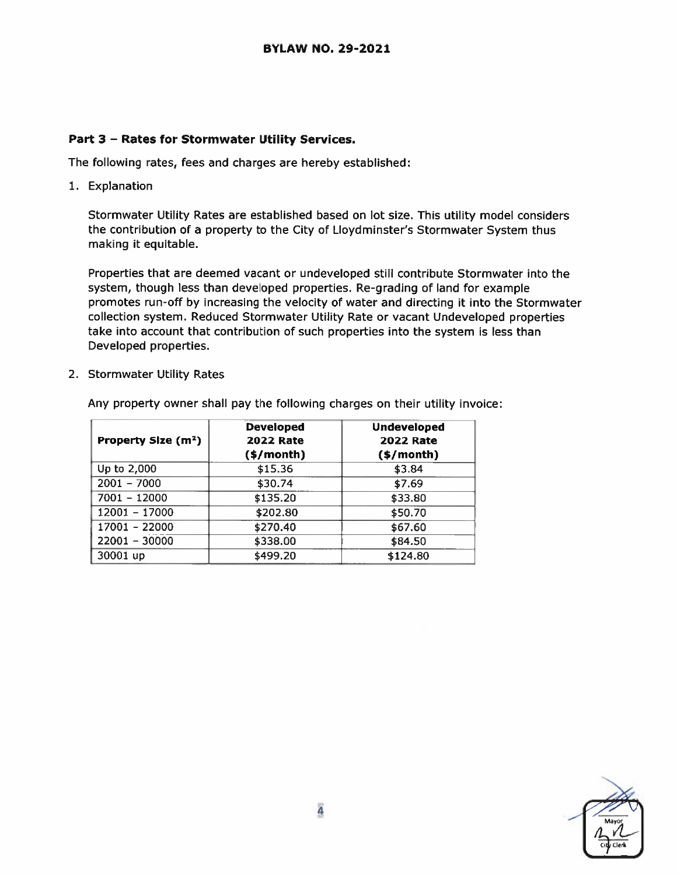## Part 3 — Rates for Stormwater Utility Services.

The following rates, fees and charges are hereby established:

1. Explanation

Stormwater Utility Rates are established based on lot size. This utility model considers the contribution of <sup>a</sup> property to the City of Lloydminster's Stormwater System thus making it equitable.

Properties that are deemed vacant or undeveloped still contribute Stormwater into the system, though less than developed properties. Re-grading of land for example promotes run-off by increasing the velocity of water and directing it into the Stormwater collection system. Reduced Stormwater Utility Rate or vacant Undeveloped properties take into account that contribution of such properties into the system is less than Developed properties.

2. Stormwater Utility Rates

| Property Size (m <sup>2</sup> ) | <b>Developed</b><br><b>2022 Rate</b><br>$(*)/month)$ | <b>Undeveloped</b><br><b>2022 Rate</b><br>$($ \$/month $)$ |
|---------------------------------|------------------------------------------------------|------------------------------------------------------------|
| Up to 2,000                     | \$15.36                                              | \$3.84                                                     |
| $2001 - 7000$                   | \$30.74                                              | \$7.69                                                     |
| $7001 - 12000$                  | \$135.20                                             | \$33.80                                                    |
| $12001 - 17000$                 | \$202.80                                             | \$50.70                                                    |
| 17001 - 22000                   | \$270.40                                             | \$67.60                                                    |
| $22001 - 30000$                 | \$338.00                                             | \$84.50                                                    |
| 30001 up                        | \$499.20                                             | \$124.80                                                   |

Any property owner shall pay the following charges on their utility invoice: